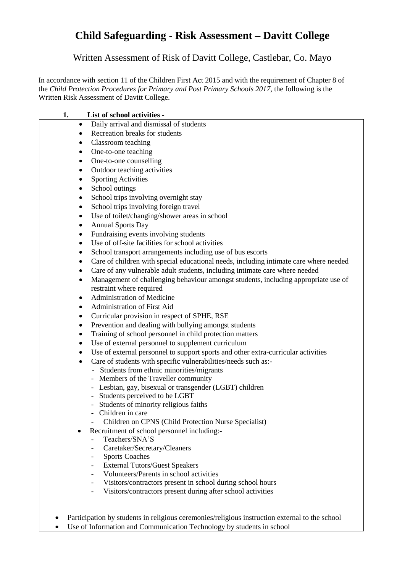## **Child Safeguarding - Risk Assessment – Davitt College**

Written Assessment of Risk of Davitt College, Castlebar, Co. Mayo

In accordance with section 11 of the Children First Act 2015 and with the requirement of Chapter 8 of the *Child Protection Procedures for Primary and Post Primary Schools 2017,* the following is the Written Risk Assessment of Davitt College.

| 1.        | List of school activities -                                                                    |
|-----------|------------------------------------------------------------------------------------------------|
| $\bullet$ | Daily arrival and dismissal of students                                                        |
| $\bullet$ | Recreation breaks for students                                                                 |
| $\bullet$ | Classroom teaching                                                                             |
| ٠         | One-to-one teaching                                                                            |
| ٠         | One-to-one counselling                                                                         |
| $\bullet$ | Outdoor teaching activities                                                                    |
| $\bullet$ | <b>Sporting Activities</b>                                                                     |
| $\bullet$ | School outings                                                                                 |
|           | School trips involving overnight stay                                                          |
| ٠         | School trips involving foreign travel                                                          |
| ٠         | Use of toilet/changing/shower areas in school                                                  |
| ٠         | <b>Annual Sports Day</b>                                                                       |
| ٠         | Fundraising events involving students                                                          |
| $\bullet$ | Use of off-site facilities for school activities                                               |
| ٠         | School transport arrangements including use of bus escorts                                     |
| ٠         | Care of children with special educational needs, including intimate care where needed          |
|           | Care of any vulnerable adult students, including intimate care where needed                    |
| $\bullet$ | Management of challenging behaviour amongst students, including appropriate use of             |
|           | restraint where required                                                                       |
| $\bullet$ | <b>Administration of Medicine</b>                                                              |
| ٠         | Administration of First Aid                                                                    |
| ٠         | Curricular provision in respect of SPHE, RSE                                                   |
| $\bullet$ | Prevention and dealing with bullying amongst students                                          |
| ٠         | Training of school personnel in child protection matters                                       |
| ٠         | Use of external personnel to supplement curriculum                                             |
| ٠         | Use of external personnel to support sports and other extra-curricular activities              |
| $\bullet$ | Care of students with specific vulnerabilities/needs such as:-                                 |
|           | - Students from ethnic minorities/migrants                                                     |
|           | - Members of the Traveller community                                                           |
|           | - Lesbian, gay, bisexual or transgender (LGBT) children                                        |
|           | Students perceived to be LGBT                                                                  |
|           | Students of minority religious faiths                                                          |
|           | Children in care                                                                               |
|           | Children on CPNS (Child Protection Nurse Specialist)                                           |
| ٠         | Recruitment of school personnel including:-<br>Teachers/SNA'S                                  |
|           | Caretaker/Secretary/Cleaners<br>$\overline{\phantom{0}}$                                       |
|           | <b>Sports Coaches</b><br>-                                                                     |
|           | <b>External Tutors/Guest Speakers</b><br>$\overline{\phantom{0}}$                              |
|           | Volunteers/Parents in school activities<br>$\overline{\phantom{0}}$                            |
|           | Visitors/contractors present in school during school hours<br>-                                |
|           | Visitors/contractors present during after school activities<br>$\overline{\phantom{a}}$        |
|           |                                                                                                |
|           |                                                                                                |
|           | Participation by students in religious ceremonies/religious instruction external to the school |
|           | Use of Information and Communication Technology by students in school                          |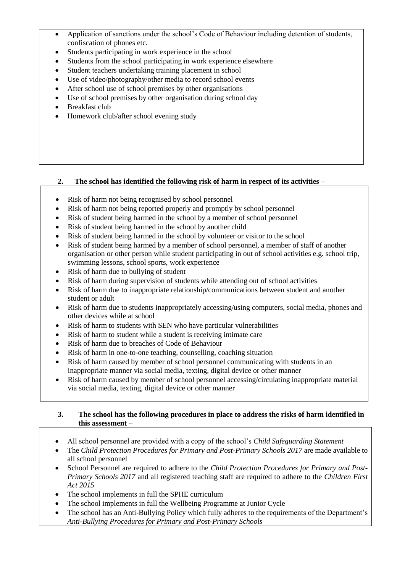- Application of sanctions under the school's Code of Behaviour including detention of students, confiscation of phones etc.
- Students participating in work experience in the school
- Students from the school participating in work experience elsewhere
- Student teachers undertaking training placement in school
- Use of video/photography/other media to record school events
- After school use of school premises by other organisations
- Use of school premises by other organisation during school day
- Breakfast club
- Homework club/after school evening study

## **2. The school has identified the following risk of harm in respect of its activities –**

- Risk of harm not being recognised by school personnel
- Risk of harm not being reported properly and promptly by school personnel
- Risk of student being harmed in the school by a member of school personnel
- Risk of student being harmed in the school by another child
- Risk of student being harmed in the school by volunteer or visitor to the school
- Risk of student being harmed by a member of school personnel, a member of staff of another organisation or other person while student participating in out of school activities e.g. school trip, swimming lessons, school sports, work experience
- Risk of harm due to bullying of student
- Risk of harm during supervision of students while attending out of school activities
- Risk of harm due to inappropriate relationship/communications between student and another student or adult
- Risk of harm due to students inappropriately accessing/using computers, social media, phones and other devices while at school
- Risk of harm to students with SEN who have particular vulnerabilities
- Risk of harm to student while a student is receiving intimate care
- Risk of harm due to breaches of Code of Behaviour
- Risk of harm in one-to-one teaching, counselling, coaching situation
- Risk of harm caused by member of school personnel communicating with students in an inappropriate manner via social media, texting, digital device or other manner
- Risk of harm caused by member of school personnel accessing/circulating inappropriate material via social media, texting, digital device or other manner

## **3. The school has the following procedures in place to address the risks of harm identified in this assessment –**

- All school personnel are provided with a copy of the school's *Child Safeguarding Statement*
- The *Child Protection Procedures for Primary and Post-Primary Schools 2017* are made available to all school personnel
- School Personnel are required to adhere to the *Child Protection Procedures for Primary and Post-Primary Schools 2017* and all registered teaching staff are required to adhere to the *Children First Act 2015*
- The school implements in full the SPHE curriculum
- The school implements in full the Wellbeing Programme at Junior Cycle
- The school has an Anti-Bullying Policy which fully adheres to the requirements of the Department's *Anti-Bullying Procedures for Primary and Post-Primary Schools*